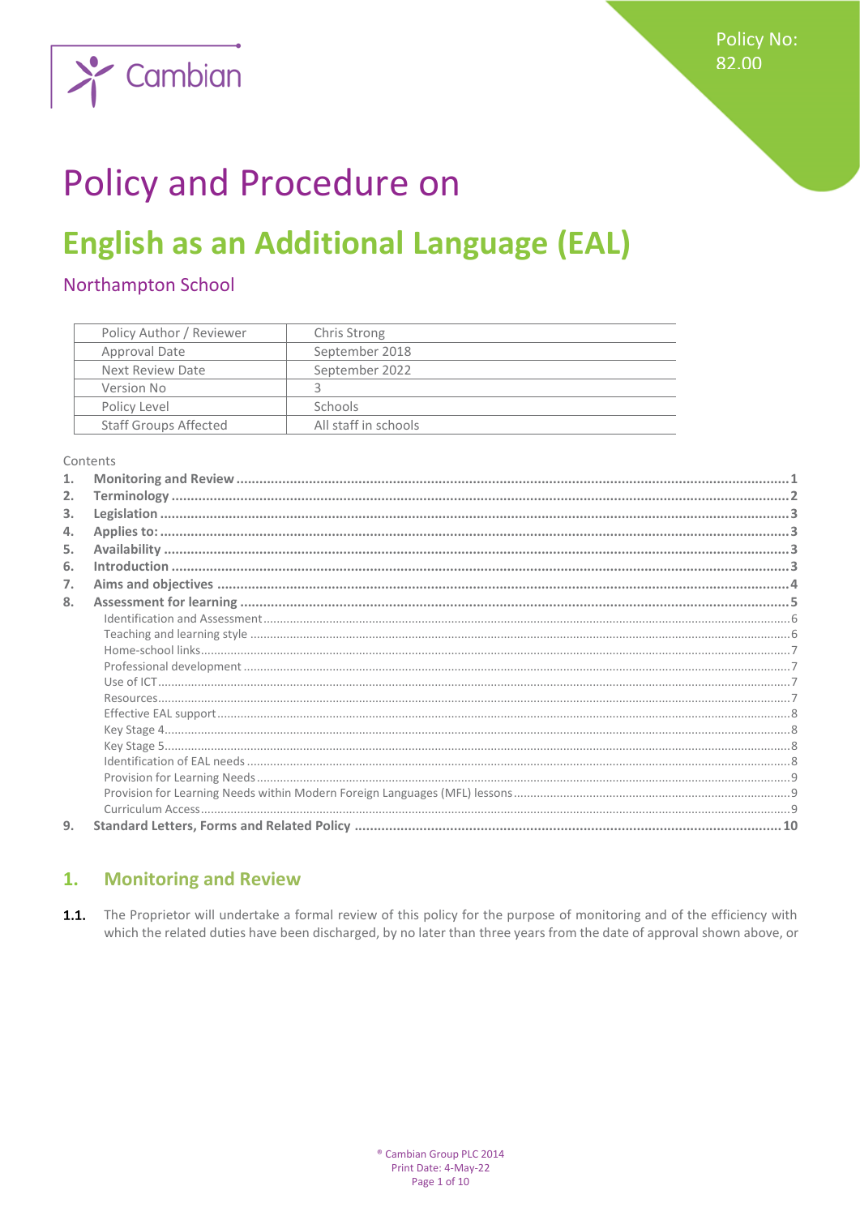

# **Policy and Procedure on**

## **English as an Additional Language (EAL)**

## Northampton School

| Policy Author / Reviewer     | Chris Strong         |
|------------------------------|----------------------|
| Approval Date                | September 2018       |
| Next Review Date             | September 2022       |
| Version No                   |                      |
| Policy Level                 | <b>Schools</b>       |
| <b>Staff Groups Affected</b> | All staff in schools |

Contents

| 2. |  |
|----|--|
| 3. |  |
| 4. |  |
| 5. |  |
| 6. |  |
| 7. |  |
| 8. |  |
|    |  |
|    |  |
|    |  |
|    |  |
|    |  |
|    |  |
|    |  |
|    |  |
|    |  |
|    |  |
|    |  |
|    |  |
|    |  |
| 9. |  |

#### <span id="page-0-0"></span>**Monitoring and Review**  $\mathbf{1}$ .

 $1.1.$ The Proprietor will undertake a formal review of this policy for the purpose of monitoring and of the efficiency with which the related duties have been discharged, by no later than three years from the date of approval shown above, or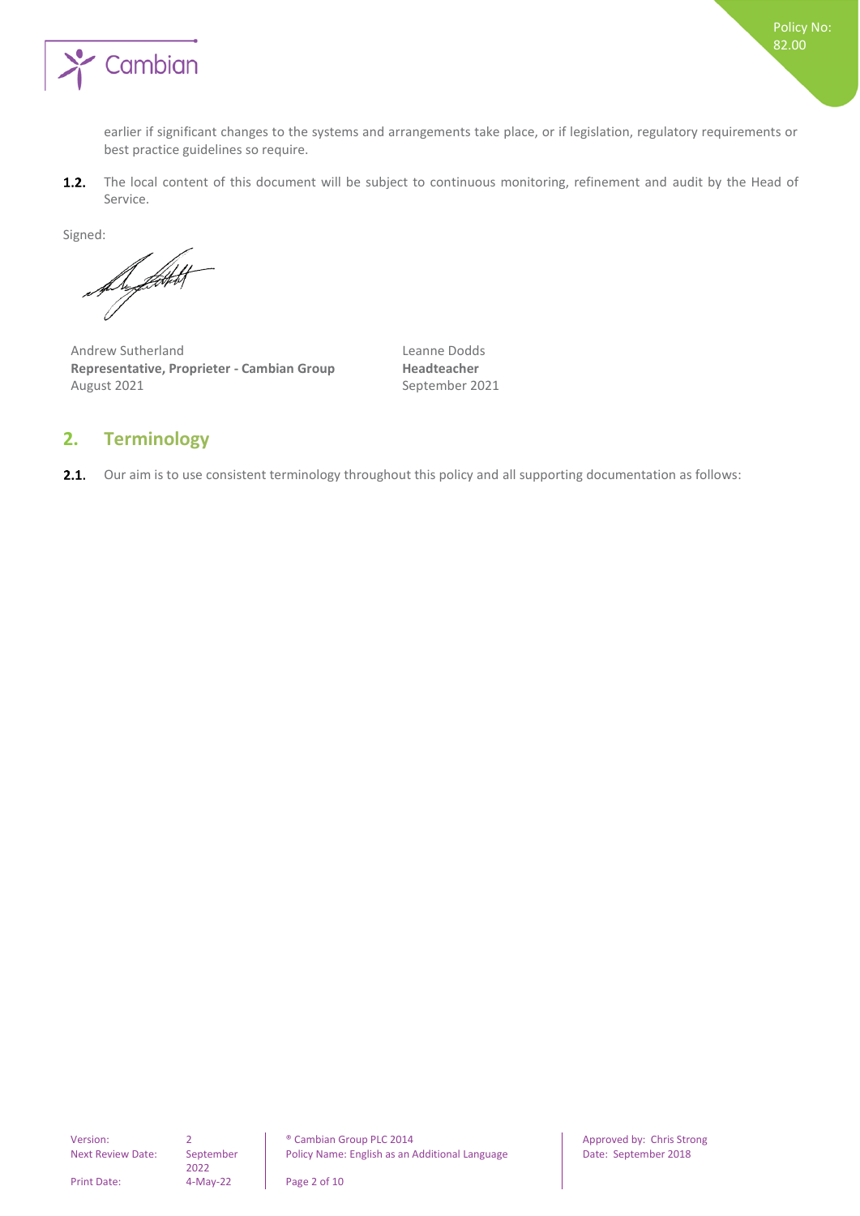

earlier if significant changes to the systems and arrangements take place, or if legislation, regulatory requirements or best practice guidelines so require.

The local content of this document will be subject to continuous monitoring, refinement and audit by the Head of  $1.2.$ Service.

Signed:

Superficient

Andrew Sutherland **Leanne Dodds Representative, Proprieter - Cambian Group Headteacher** August 2021 and the September 2021

## <span id="page-1-0"></span>**2. Terminology**

 $2.1.$ Our aim is to use consistent terminology throughout this policy and all supporting documentation as follows:

2022

Version: 2 and 2 **Proved by:** Cambian Group PLC 2014 **Approved by:** Chris Strong Policy Name: English as an Additional Language Date: September 2018

Print Date: 4-May-22 Page 2 of 10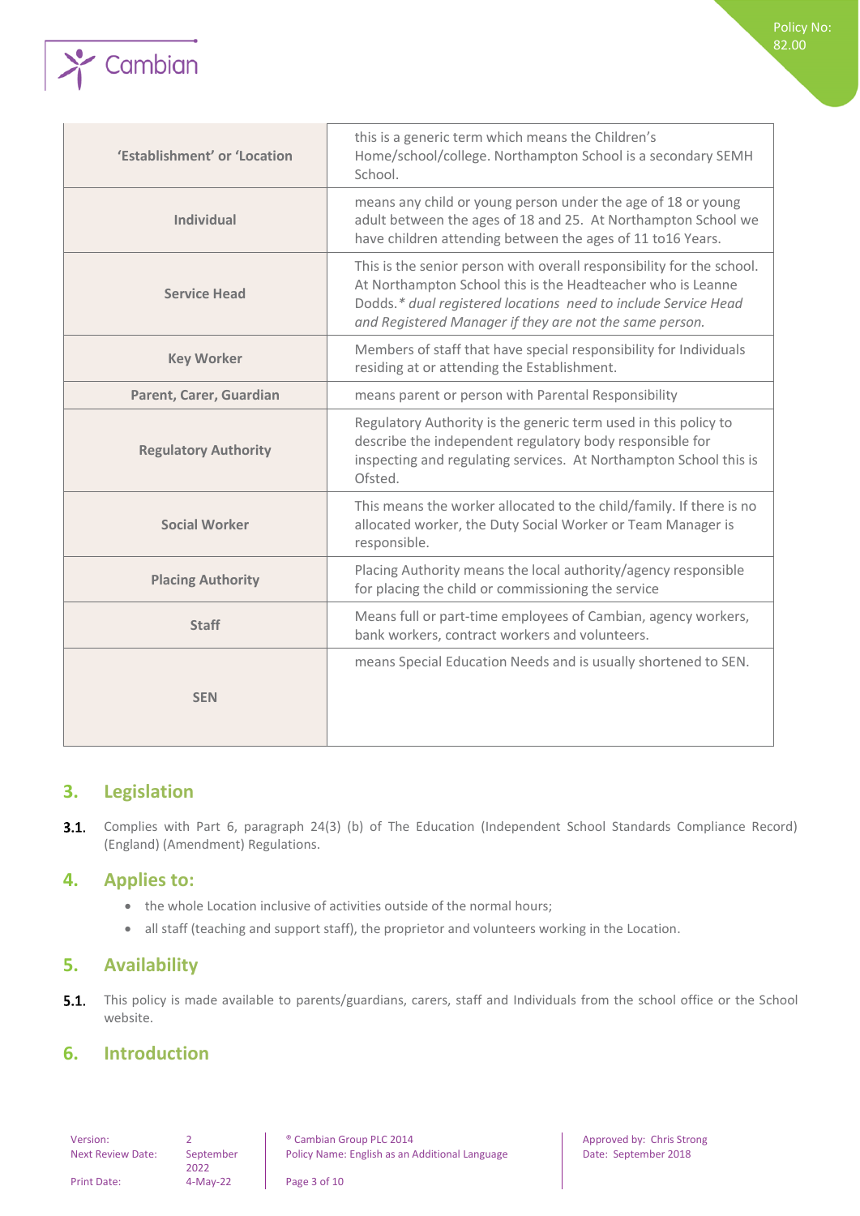

| 'Establishment' or 'Location | this is a generic term which means the Children's<br>Home/school/college. Northampton School is a secondary SEMH<br>School.                                                                                                                                       |
|------------------------------|-------------------------------------------------------------------------------------------------------------------------------------------------------------------------------------------------------------------------------------------------------------------|
| <b>Individual</b>            | means any child or young person under the age of 18 or young<br>adult between the ages of 18 and 25. At Northampton School we<br>have children attending between the ages of 11 to16 Years.                                                                       |
| <b>Service Head</b>          | This is the senior person with overall responsibility for the school.<br>At Northampton School this is the Headteacher who is Leanne<br>Dodds.* dual registered locations need to include Service Head<br>and Registered Manager if they are not the same person. |
| <b>Key Worker</b>            | Members of staff that have special responsibility for Individuals<br>residing at or attending the Establishment.                                                                                                                                                  |
| Parent, Carer, Guardian      | means parent or person with Parental Responsibility                                                                                                                                                                                                               |
| <b>Regulatory Authority</b>  | Regulatory Authority is the generic term used in this policy to<br>describe the independent regulatory body responsible for<br>inspecting and regulating services. At Northampton School this is<br>Ofsted.                                                       |
| <b>Social Worker</b>         | This means the worker allocated to the child/family. If there is no<br>allocated worker, the Duty Social Worker or Team Manager is<br>responsible.                                                                                                                |
| <b>Placing Authority</b>     | Placing Authority means the local authority/agency responsible<br>for placing the child or commissioning the service                                                                                                                                              |
| <b>Staff</b>                 | Means full or part-time employees of Cambian, agency workers,<br>bank workers, contract workers and volunteers.                                                                                                                                                   |
| <b>SEN</b>                   | means Special Education Needs and is usually shortened to SEN.                                                                                                                                                                                                    |

## <span id="page-2-0"></span>**3. Legislation**

Complies with Part 6, paragraph 24(3) (b) of The Education (Independent School Standards Compliance Record)  $3.1.$ (England) (Amendment) Regulations.

### <span id="page-2-1"></span>**4. Applies to:**

- the whole Location inclusive of activities outside of the normal hours;
- <span id="page-2-2"></span>• all staff (teaching and support staff), the proprietor and volunteers working in the Location.

## **5. Availability**

 $5.1.$ This policy is made available to parents/guardians, carers, staff and Individuals from the school office or the School website.

## <span id="page-2-3"></span>**6. Introduction**

Next Review Date:

2022

Policy No: 82.00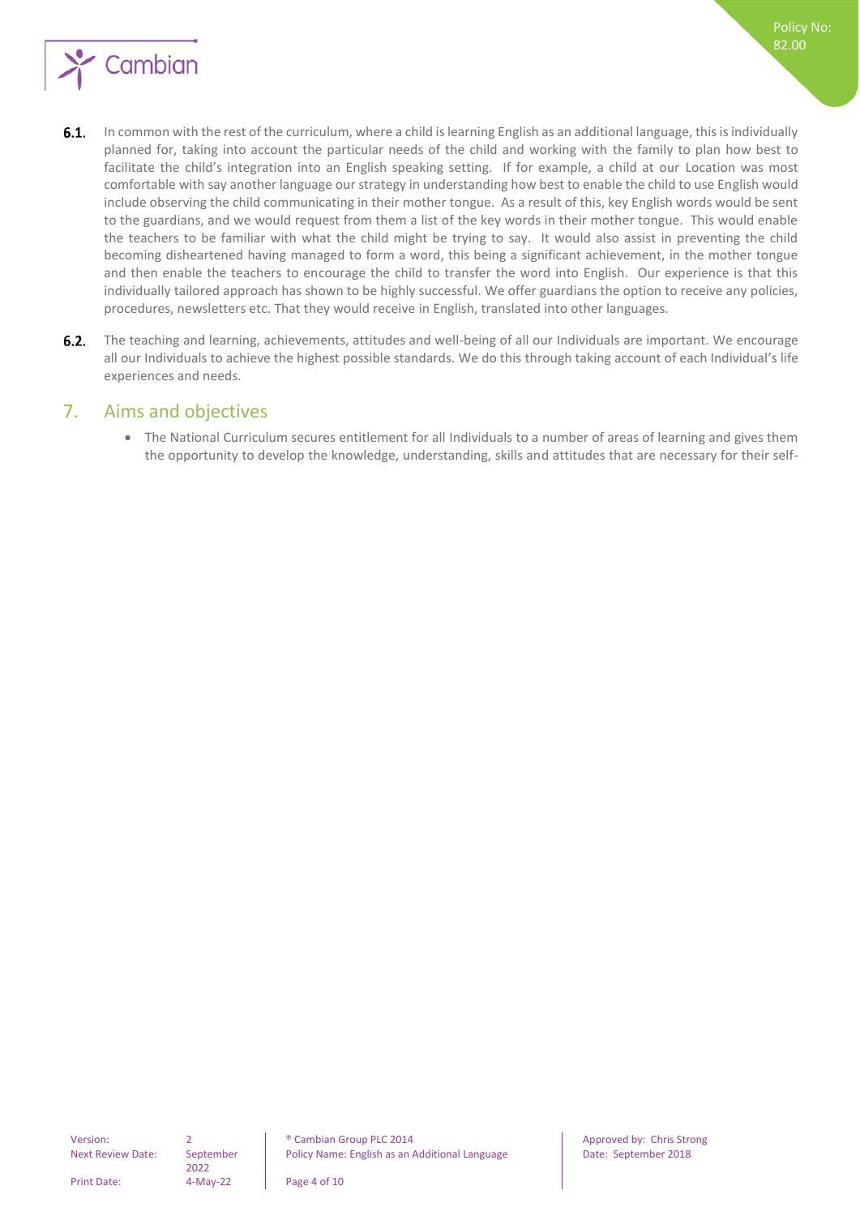

- $6.1.$ In common with the rest of the curriculum, where a child is learning English as an additional language, this is individually planned for, taking into account the particular needs of the child and working with the family to plan how best to facilitate the child's integration into an English speaking setting. If for example, a child at our Location was most comfortable with say another language our strategy in understanding how best to enable the child to use English would include observing the child communicating in their mother tongue. As a result of this, key English words would be sent to the guardians, and we would request from them a list of the key words in their mother tongue. This would enable the teachers to be familiar with what the child might be trying to say. It would also assist in preventing the child becoming disheartened having managed to form a word, this being a significant achievement, in the mother tongue and then enable the teachers to encourage the child to transfer the word into English. Our experience is that this individually tailored approach has shown to be highly successful. We offer guardians the option to receive any policies, procedures, newsletters etc. That they would receive in English, translated into other languages.
- $6.2.$ The teaching and learning, achievements, attitudes and well-being of all our Individuals are important. We encourage all our Individuals to achieve the highest possible standards. We do this through taking account of each Individual's life experiences and needs.

## <span id="page-3-0"></span>7. Aims and objectives

• The National Curriculum secures entitlement for all Individuals to a number of areas of learning and gives them the opportunity to develop the knowledge, understanding, skills and attitudes that are necessary for their self-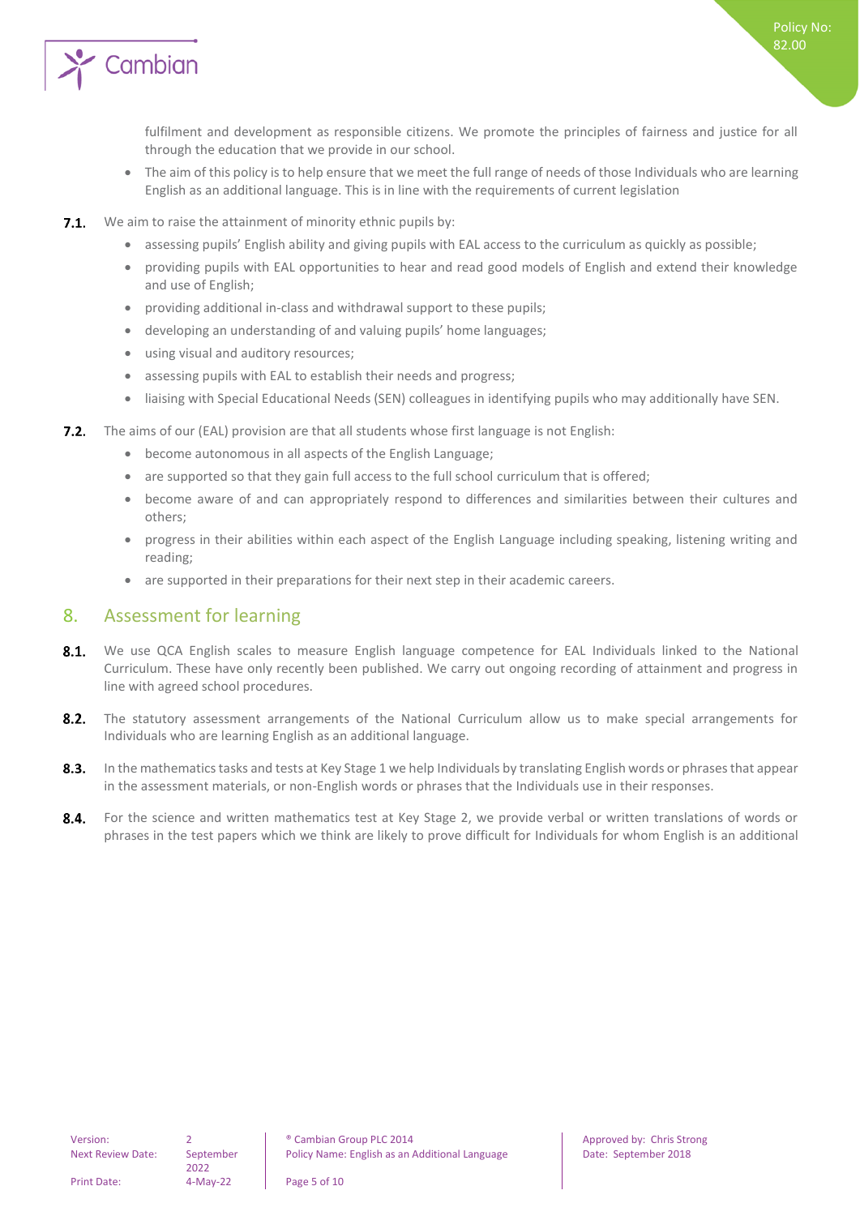

fulfilment and development as responsible citizens. We promote the principles of fairness and justice for all through the education that we provide in our school.

- The aim of this policy is to help ensure that we meet the full range of needs of those Individuals who are learning English as an additional language. This is in line with the requirements of current legislation
- $7.1.$ We aim to raise the attainment of minority ethnic pupils by:
	- assessing pupils' English ability and giving pupils with EAL access to the curriculum as quickly as possible;
	- providing pupils with EAL opportunities to hear and read good models of English and extend their knowledge and use of English;
	- providing additional in-class and withdrawal support to these pupils;
	- developing an understanding of and valuing pupils' home languages;
	- using visual and auditory resources;
	- assessing pupils with EAL to establish their needs and progress;
	- liaising with Special Educational Needs (SEN) colleagues in identifying pupils who may additionally have SEN.
- **7.2.** The aims of our (EAL) provision are that all students whose first language is not English:
	- become autonomous in all aspects of the English Language;
	- are supported so that they gain full access to the full school curriculum that is offered;
	- become aware of and can appropriately respond to differences and similarities between their cultures and others;
	- progress in their abilities within each aspect of the English Language including speaking, listening writing and reading;
	- are supported in their preparations for their next step in their academic careers.

## <span id="page-4-0"></span>8. Assessment for learning

- $8.1.$ We use QCA English scales to measure English language competence for EAL Individuals linked to the National Curriculum. These have only recently been published. We carry out ongoing recording of attainment and progress in line with agreed school procedures.
- $8.2.$ The statutory assessment arrangements of the National Curriculum allow us to make special arrangements for Individuals who are learning English as an additional language.
- $8.3.$ In the mathematics tasks and tests at Key Stage 1 we help Individuals by translating English words or phrases that appear in the assessment materials, or non-English words or phrases that the Individuals use in their responses.
- $8.4.$ For the science and written mathematics test at Key Stage 2, we provide verbal or written translations of words or phrases in the test papers which we think are likely to prove difficult for Individuals for whom English is an additional

2022

Version: 2 2 | © Cambian Group PLC 2014 | Approved by: Chris Strong Policy Name: English as an Additional Language | Date: September 2018

Print Date: 4-May-22 Page 5 of 10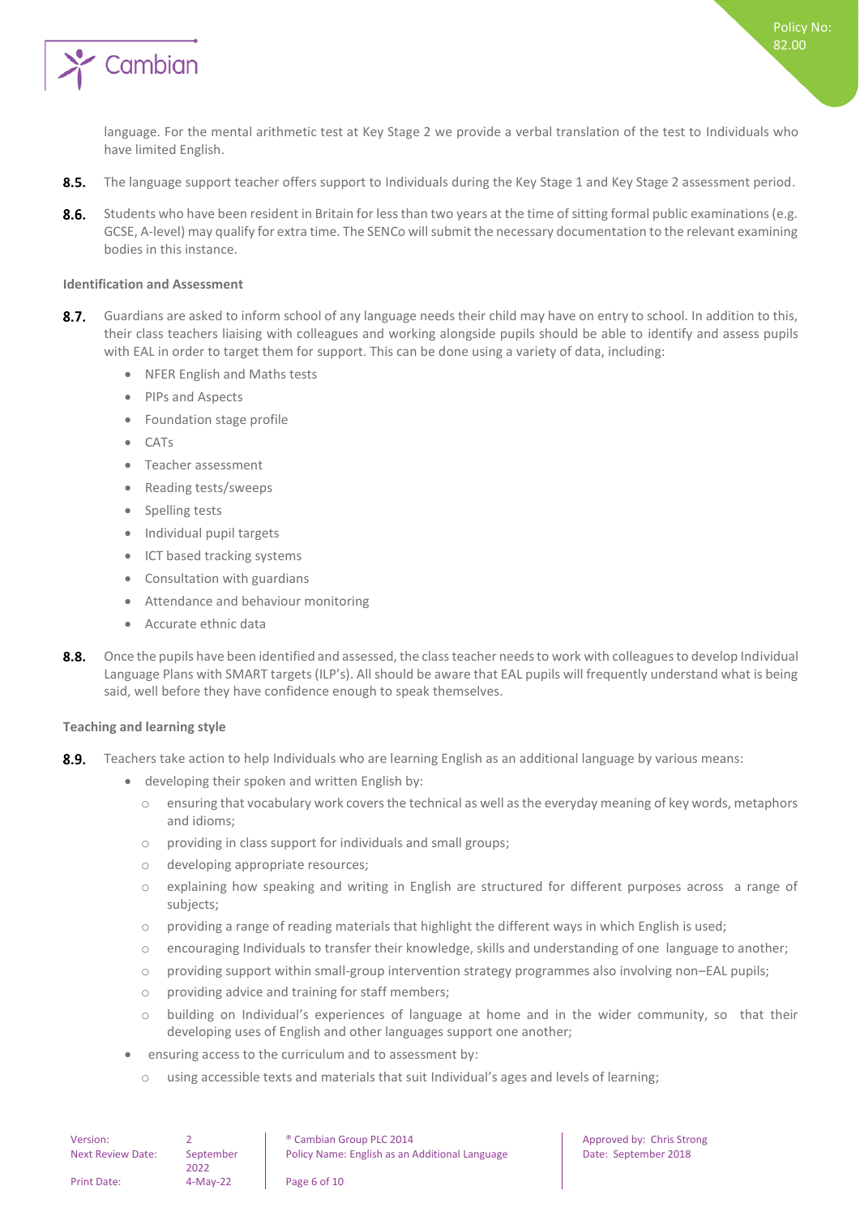

language. For the mental arithmetic test at Key Stage 2 we provide a verbal translation of the test to Individuals who have limited English.

- $8.5.$ The language support teacher offers support to Individuals during the Key Stage 1 and Key Stage 2 assessment period.
- $8.6.$ Students who have been resident in Britain for less than two years at the time of sitting formal public examinations (e.g. GCSE, A-level) may qualify for extra time. The SENCo will submit the necessary documentation to the relevant examining bodies in this instance.

#### <span id="page-5-0"></span>**Identification and Assessment**

- $8.7.$ Guardians are asked to inform school of any language needs their child may have on entry to school. In addition to this, their class teachers liaising with colleagues and working alongside pupils should be able to identify and assess pupils with EAL in order to target them for support. This can be done using a variety of data, including:
	- NFER English and Maths tests
	- PIPs and Aspects
	- Foundation stage profile
	- CATs
	- Teacher assessment
	- Reading tests/sweeps
	- Spelling tests
	- Individual pupil targets
	- ICT based tracking systems
	- Consultation with guardians
	- Attendance and behaviour monitoring
	- Accurate ethnic data
- $8.8.$ Once the pupils have been identified and assessed, the class teacher needs to work with colleagues to develop Individual Language Plans with SMART targets (ILP's). All should be aware that EAL pupils will frequently understand what is being said, well before they have confidence enough to speak themselves.

#### <span id="page-5-1"></span>**Teaching and learning style**

- $8.9.$ Teachers take action to help Individuals who are learning English as an additional language by various means:
	- developing their spoken and written English by:
		- o ensuring that vocabulary work covers the technical as well as the everyday meaning of key words, metaphors and idioms;
		- o providing in class support for individuals and small groups;
		- o developing appropriate resources;
		- o explaining how speaking and writing in English are structured for different purposes across a range of subjects;
		- $\circ$  providing a range of reading materials that highlight the different ways in which English is used;
		- $\circ$  encouraging Individuals to transfer their knowledge, skills and understanding of one language to another;
		- o providing support within small-group intervention strategy programmes also involving non–EAL pupils;
		- o providing advice and training for staff members;
		- o building on Individual's experiences of language at home and in the wider community, so that their developing uses of English and other languages support one another;
	- ensuring access to the curriculum and to assessment by:
		- o using accessible texts and materials that suit Individual's ages and levels of learning;

| Version:                 |                   | <sup>®</sup> Cambian Group PLC 2014            |
|--------------------------|-------------------|------------------------------------------------|
| <b>Next Review Date:</b> | September<br>2022 | Policy Name: English as an Additional Language |
| Print Date:              | $4-Mav-22$        | Page 6 of 10                                   |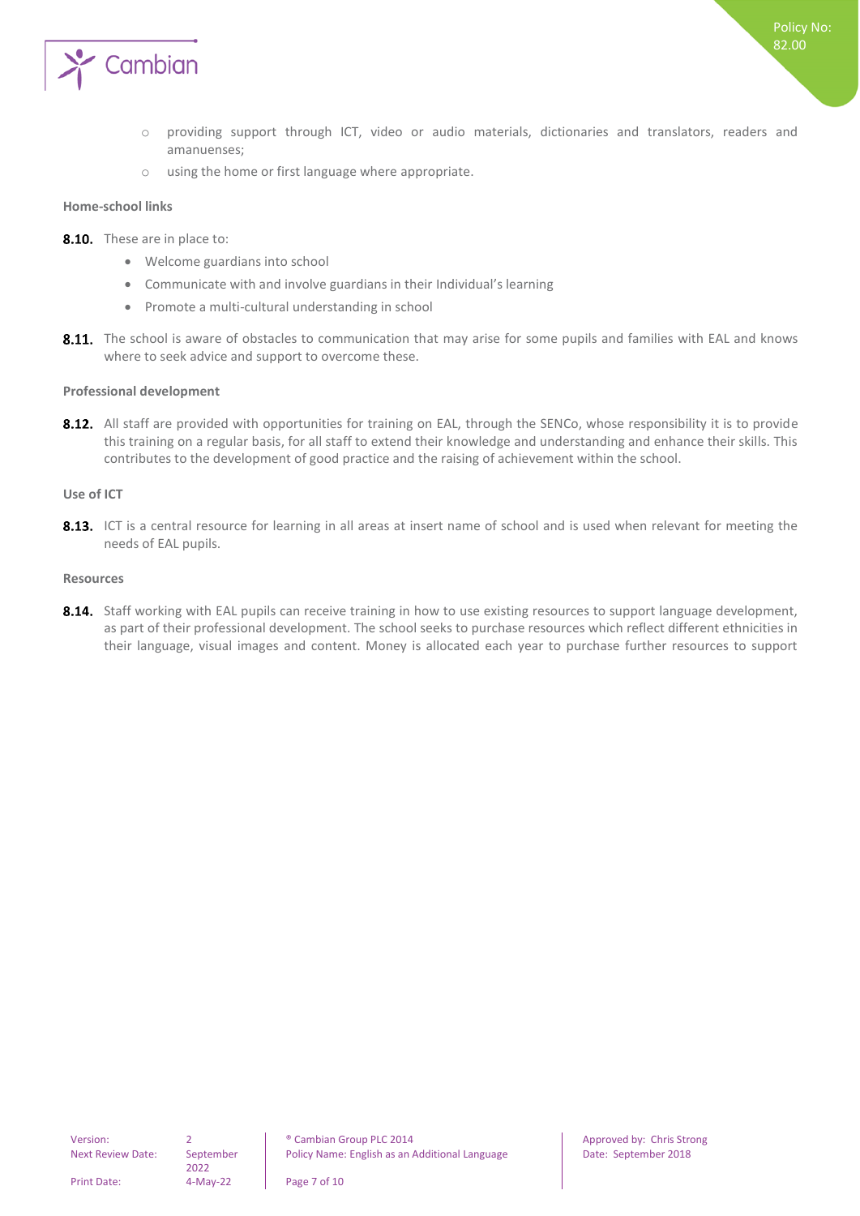

- o providing support through ICT, video or audio materials, dictionaries and translators, readers and amanuenses;
- o using the home or first language where appropriate.

#### <span id="page-6-0"></span>**Home-school links**

- 8.10. These are in place to:
	- Welcome guardians into school
	- Communicate with and involve guardians in their Individual's learning
	- Promote a multi-cultural understanding in school
- 8.11. The school is aware of obstacles to communication that may arise for some pupils and families with EAL and knows where to seek advice and support to overcome these.

#### <span id="page-6-1"></span>**Professional development**

8.12. All staff are provided with opportunities for training on EAL, through the SENCo, whose responsibility it is to provide this training on a regular basis, for all staff to extend their knowledge and understanding and enhance their skills. This contributes to the development of good practice and the raising of achievement within the school.

#### <span id="page-6-2"></span>**Use of ICT**

8.13. ICT is a central resource for learning in all areas at insert name of school and is used when relevant for meeting the needs of EAL pupils.

#### <span id="page-6-3"></span>**Resources**

8.14. Staff working with EAL pupils can receive training in how to use existing resources to support language development, as part of their professional development. The school seeks to purchase resources which reflect different ethnicities in their language, visual images and content. Money is allocated each year to purchase further resources to support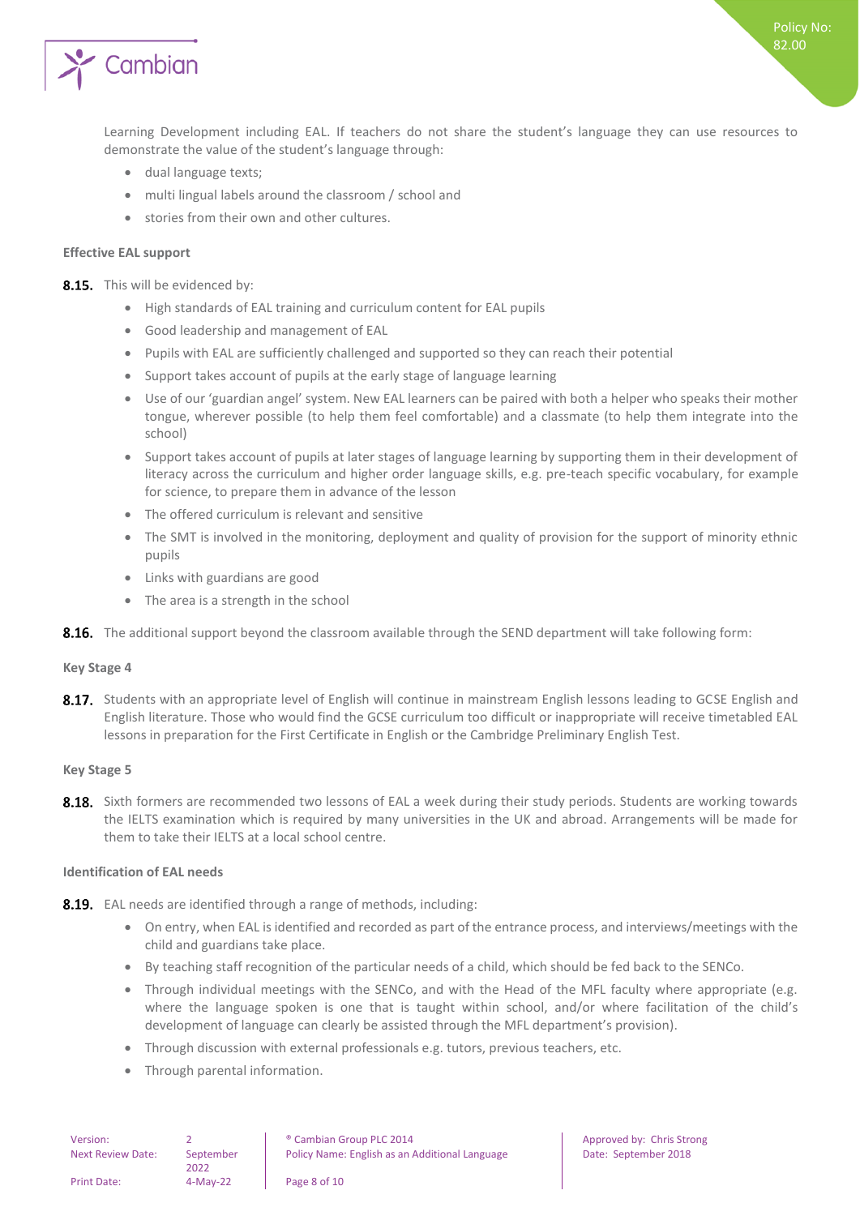

Learning Development including EAL. If teachers do not share the student's language they can use resources to demonstrate the value of the student's language through:

- dual language texts;
- multi lingual labels around the classroom / school and
- stories from their own and other cultures.

#### <span id="page-7-0"></span>**Effective EAL support**

8.15. This will be evidenced by:

- High standards of EAL training and curriculum content for EAL pupils
- Good leadership and management of EAL
- Pupils with EAL are sufficiently challenged and supported so they can reach their potential
- Support takes account of pupils at the early stage of language learning
- Use of our 'guardian angel' system. New EAL learners can be paired with both a helper who speaks their mother tongue, wherever possible (to help them feel comfortable) and a classmate (to help them integrate into the school)
- Support takes account of pupils at later stages of language learning by supporting them in their development of literacy across the curriculum and higher order language skills, e.g. pre-teach specific vocabulary, for example for science, to prepare them in advance of the lesson
- The offered curriculum is relevant and sensitive
- The SMT is involved in the monitoring, deployment and quality of provision for the support of minority ethnic pupils
- Links with guardians are good
- The area is a strength in the school
- <span id="page-7-1"></span>8.16. The additional support beyond the classroom available through the SEND department will take following form:

#### **Key Stage 4**

8.17. Students with an appropriate level of English will continue in mainstream English lessons leading to GCSE English and English literature. Those who would find the GCSE curriculum too difficult or inappropriate will receive timetabled EAL lessons in preparation for the First Certificate in English or the Cambridge Preliminary English Test.

#### <span id="page-7-2"></span>**Key Stage 5**

8.18. Sixth formers are recommended two lessons of EAL a week during their study periods. Students are working towards the IELTS examination which is required by many universities in the UK and abroad. Arrangements will be made for them to take their IELTS at a local school centre.

#### <span id="page-7-3"></span>**Identification of EAL needs**

- 8.19. EAL needs are identified through a range of methods, including:
	- On entry, when EAL is identified and recorded as part of the entrance process, and interviews/meetings with the child and guardians take place.
	- By teaching staff recognition of the particular needs of a child, which should be fed back to the SENCo.
	- Through individual meetings with the SENCo, and with the Head of the MFL faculty where appropriate (e.g. where the language spoken is one that is taught within school, and/or where facilitation of the child's development of language can clearly be assisted through the MFL department's provision).
	- Through discussion with external professionals e.g. tutors, previous teachers, etc.
	- Through parental information.

| Version:           |                   | <sup>®</sup> Cambian Group PLC 2014           |
|--------------------|-------------------|-----------------------------------------------|
| Next Review Date:  | September<br>2022 | Policy Name: English as an Additional Languag |
| <b>Print Date:</b> | 4-May-22          | Page 8 of 10                                  |

Approved by: Chris Strong Policy Name: September 2018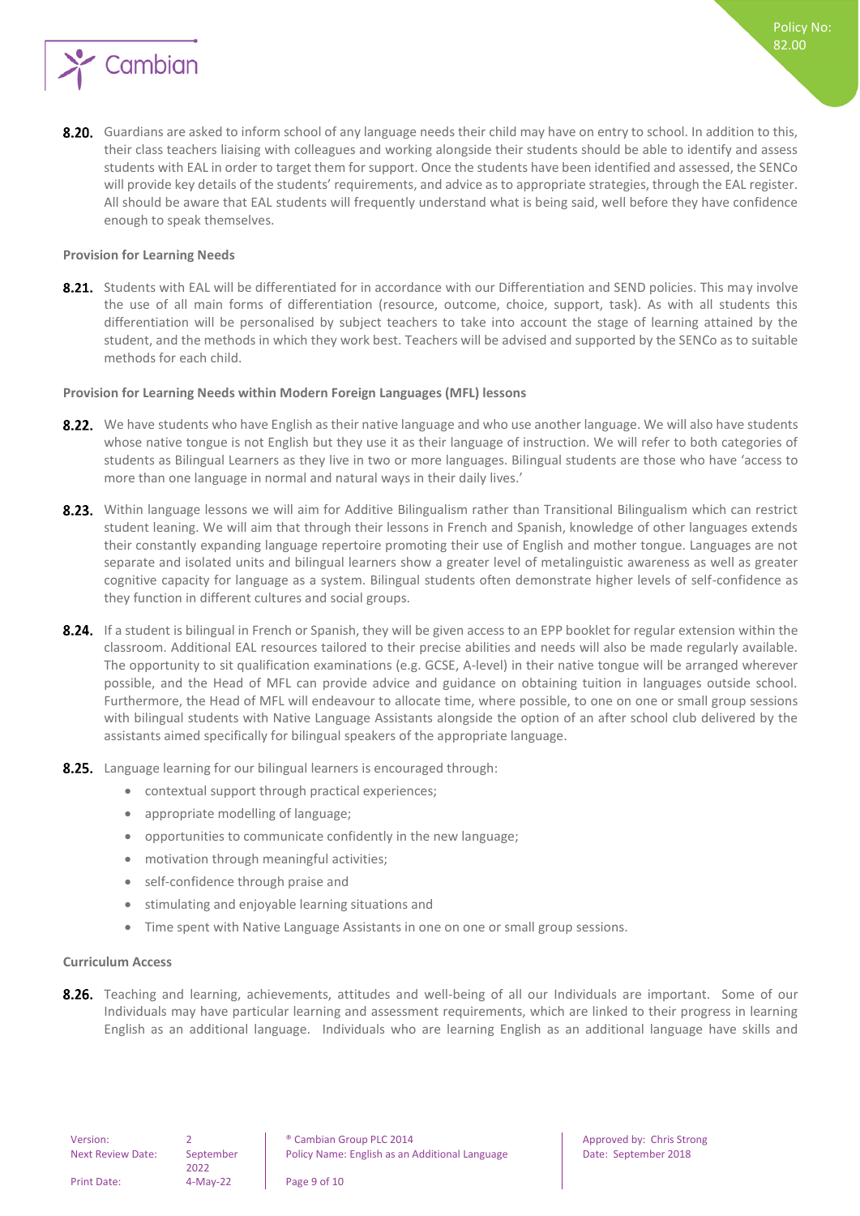

8.20. Guardians are asked to inform school of any language needs their child may have on entry to school. In addition to this, their class teachers liaising with colleagues and working alongside their students should be able to identify and assess students with EAL in order to target them for support. Once the students have been identified and assessed, the SENCo will provide key details of the students' requirements, and advice as to appropriate strategies, through the EAL register. All should be aware that EAL students will frequently understand what is being said, well before they have confidence enough to speak themselves.

#### <span id="page-8-0"></span>**Provision for Learning Needs**

8.21. Students with EAL will be differentiated for in accordance with our Differentiation and SEND policies. This may involve the use of all main forms of differentiation (resource, outcome, choice, support, task). As with all students this differentiation will be personalised by subject teachers to take into account the stage of learning attained by the student, and the methods in which they work best. Teachers will be advised and supported by the SENCo as to suitable methods for each child.

#### <span id="page-8-1"></span>**Provision for Learning Needs within Modern Foreign Languages (MFL) lessons**

- 8.22. We have students who have English as their native language and who use another language. We will also have students whose native tongue is not English but they use it as their language of instruction. We will refer to both categories of students as Bilingual Learners as they live in two or more languages. Bilingual students are those who have 'access to more than one language in normal and natural ways in their daily lives.'
- 8.23. Within language lessons we will aim for Additive Bilingualism rather than Transitional Bilingualism which can restrict student leaning. We will aim that through their lessons in French and Spanish, knowledge of other languages extends their constantly expanding language repertoire promoting their use of English and mother tongue. Languages are not separate and isolated units and bilingual learners show a greater level of metalinguistic awareness as well as greater cognitive capacity for language as a system. Bilingual students often demonstrate higher levels of self-confidence as they function in different cultures and social groups.
- 8.24. If a student is bilingual in French or Spanish, they will be given access to an EPP booklet for regular extension within the classroom. Additional EAL resources tailored to their precise abilities and needs will also be made regularly available. The opportunity to sit qualification examinations (e.g. GCSE, A-level) in their native tongue will be arranged wherever possible, and the Head of MFL can provide advice and guidance on obtaining tuition in languages outside school. Furthermore, the Head of MFL will endeavour to allocate time, where possible, to one on one or small group sessions with bilingual students with Native Language Assistants alongside the option of an after school club delivered by the assistants aimed specifically for bilingual speakers of the appropriate language.
- 8.25. Language learning for our bilingual learners is encouraged through:
	- contextual support through practical experiences;
	- appropriate modelling of language;
	- opportunities to communicate confidently in the new language;
	- motivation through meaningful activities;
	- self-confidence through praise and
	- stimulating and enjoyable learning situations and
	- Time spent with Native Language Assistants in one on one or small group sessions.

#### <span id="page-8-2"></span>**Curriculum Access**

8.26. Teaching and learning, achievements, attitudes and well-being of all our Individuals are important. Some of our Individuals may have particular learning and assessment requirements, which are linked to their progress in learning English as an additional language. Individuals who are learning English as an additional language have skills and

2022

Print Date: 4-May-22 Page 9 of 10